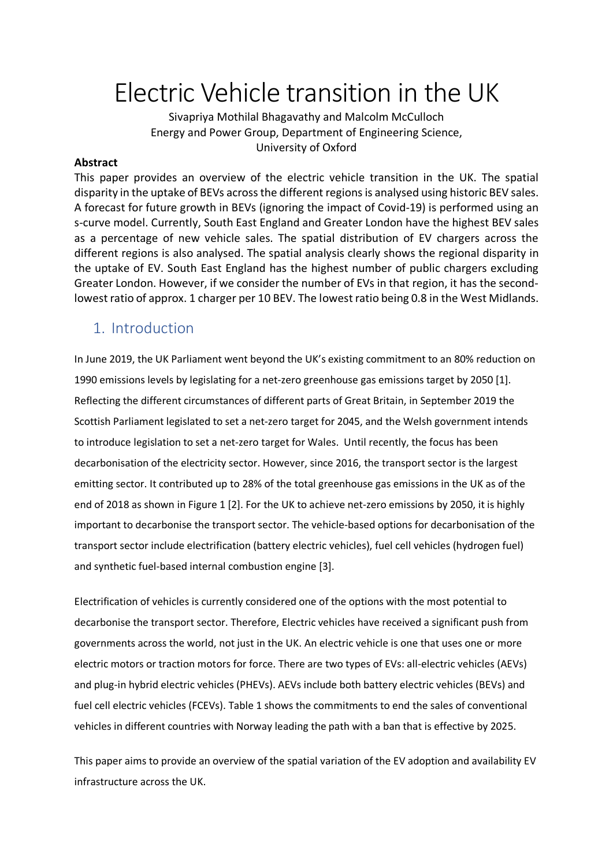# Electric Vehicle transition in the UK

Sivapriya Mothilal Bhagavathy and Malcolm McCulloch Energy and Power Group, Department of Engineering Science, University of Oxford

#### **Abstract**

This paper provides an overview of the electric vehicle transition in the UK. The spatial disparity in the uptake of BEVs across the different regions is analysed using historic BEV sales. A forecast for future growth in BEVs (ignoring the impact of Covid-19) is performed using an s-curve model. Currently, South East England and Greater London have the highest BEV sales as a percentage of new vehicle sales. The spatial distribution of EV chargers across the different regions is also analysed. The spatial analysis clearly shows the regional disparity in the uptake of EV. South East England has the highest number of public chargers excluding Greater London. However, if we consider the number of EVs in that region, it has the secondlowest ratio of approx. 1 charger per 10 BEV. The lowest ratio being 0.8 in the West Midlands.

#### 1. Introduction

In June 2019, the UK Parliament went beyond the UK's existing commitment to an 80% reduction on 1990 emissions levels by legislating for a net-zero greenhouse gas emissions target by 2050 [1]. Reflecting the different circumstances of different parts of Great Britain, in September 2019 the Scottish Parliament legislated to set a net-zero target for 2045, and the Welsh government intends to introduce legislation to set a net-zero target for Wales. Until recently, the focus has been decarbonisation of the electricity sector. However, since 2016, the transport sector is the largest emitting sector. It contributed up to 28% of the total greenhouse gas emissions in the UK as of the end of 2018 as shown in Figure 1 [2]. For the UK to achieve net-zero emissions by 2050, it is highly important to decarbonise the transport sector. The vehicle-based options for decarbonisation of the transport sector include electrification (battery electric vehicles), fuel cell vehicles (hydrogen fuel) and synthetic fuel-based internal combustion engine [3].

Electrification of vehicles is currently considered one of the options with the most potential to decarbonise the transport sector. Therefore, Electric vehicles have received a significant push from governments across the world, not just in the UK. An electric vehicle is one that uses one or more electric motors or traction motors for force. There are two types of EVs: all-electric vehicles (AEVs) and plug-in hybrid electric vehicles (PHEVs). AEVs include both battery electric vehicles (BEVs) and fuel cell electric vehicles (FCEVs). Table 1 shows the commitments to end the sales of conventional vehicles in different countries with Norway leading the path with a ban that is effective by 2025.

This paper aims to provide an overview of the spatial variation of the EV adoption and availability EV infrastructure across the UK.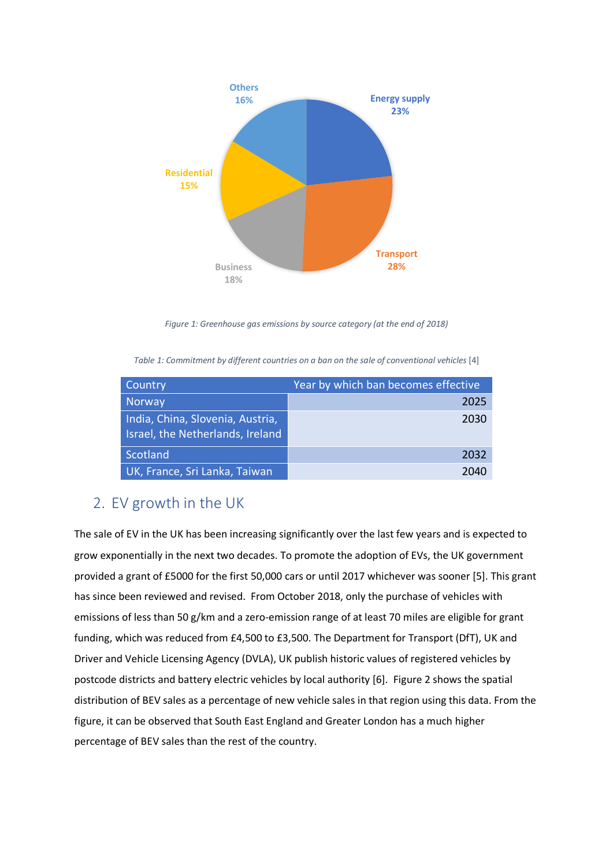

*Figure 1: Greenhouse gas emissions by source category (at the end of 2018)*

*Table 1: Commitment by different countries on a ban on the sale of conventional vehicles* [4]

| Country                                                                     | Year by which ban becomes effective |
|-----------------------------------------------------------------------------|-------------------------------------|
| Norway                                                                      | 2025                                |
| India, China, Slovenia, Austria,<br><b>Israel, the Netherlands, Ireland</b> | 2030                                |
| Scotland                                                                    | 2032                                |
| UK, France, Sri Lanka, Taiwan                                               | 2040                                |

### 2. EV growth in the UK

The sale of EV in the UK has been increasing significantly over the last few years and is expected to grow exponentially in the next two decades. To promote the adoption of EVs, the UK government provided a grant of £5000 for the first 50,000 cars or until 2017 whichever was sooner [5]. This grant has since been reviewed and revised. From October 2018, only the purchase of vehicles with emissions of less than 50 g/km and a zero-emission range of at least 70 miles are eligible for grant funding, which was reduced from £4,500 to £3,500. The Department for Transport (DfT), UK and Driver and Vehicle Licensing Agency (DVLA), UK publish historic values of registered vehicles by postcode districts and battery electric vehicles by local authority [6]. Figure 2 shows the spatial distribution of BEV sales as a percentage of new vehicle sales in that region using this data. From the figure, it can be observed that South East England and Greater London has a much higher percentage of BEV sales than the rest of the country.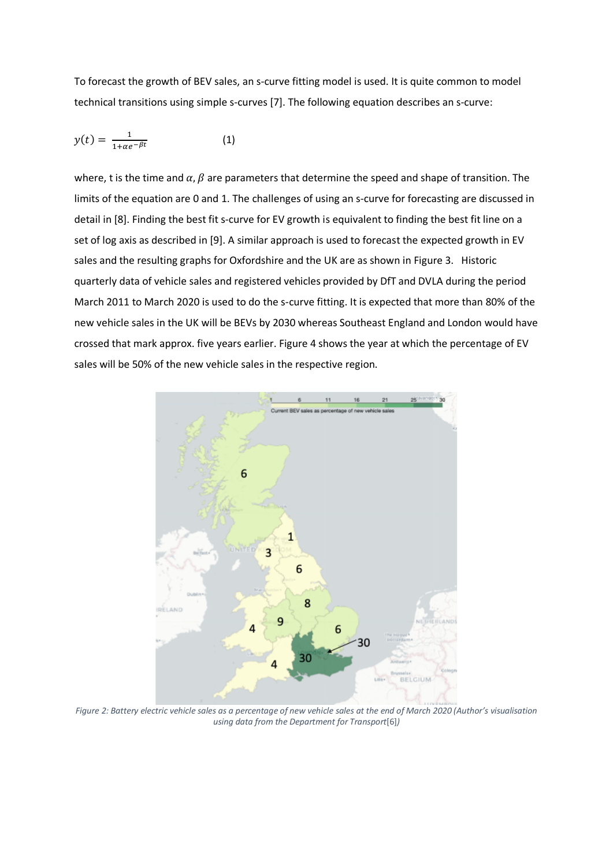To forecast the growth of BEV sales, an s-curve fitting model is used. It is quite common to model technical transitions using simple s-curves [7]. The following equation describes an s-curve:

$$
y(t) = \frac{1}{1 + \alpha e^{-\beta t}} \tag{1}
$$

where, t is the time and  $\alpha$ ,  $\beta$  are parameters that determine the speed and shape of transition. The limits of the equation are 0 and 1. The challenges of using an s-curve for forecasting are discussed in detail in [8]. Finding the best fit s-curve for EV growth is equivalent to finding the best fit line on a set of log axis as described in [9]. A similar approach is used to forecast the expected growth in EV sales and the resulting graphs for Oxfordshire and the UK are as shown in Figure 3. Historic quarterly data of vehicle sales and registered vehicles provided by DfT and DVLA during the period March 2011 to March 2020 is used to do the s-curve fitting. It is expected that more than 80% of the new vehicle sales in the UK will be BEVs by 2030 whereas Southeast England and London would have crossed that mark approx. five years earlier. Figure 4 shows the year at which the percentage of EV sales will be 50% of the new vehicle sales in the respective region.



*Figure 2: Battery electric vehicle sales as a percentage of new vehicle sales at the end of March 2020 (Author's visualisation using data from the Department for Transport*[6]*)*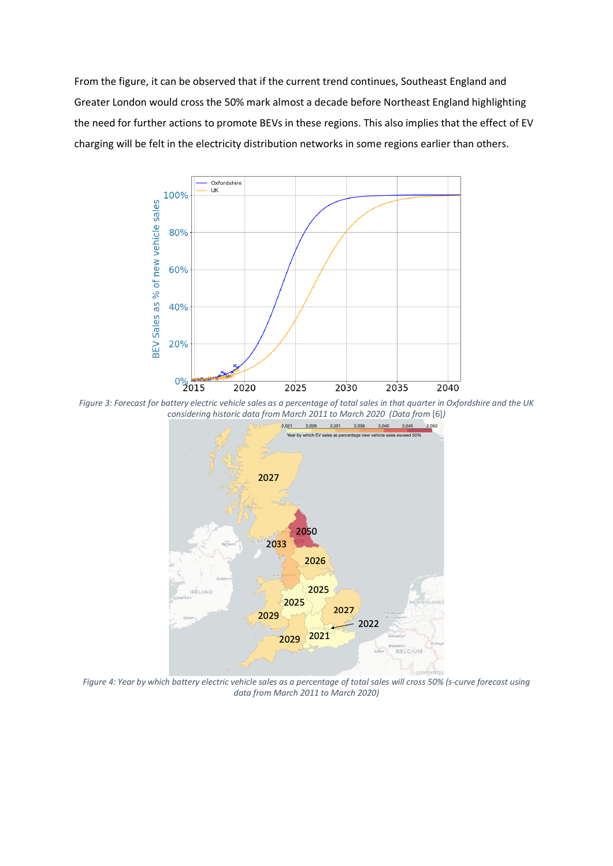From the figure, it can be observed that if the current trend continues, Southeast England and Greater London would cross the 50% mark almost a decade before Northeast England highlighting the need for further actions to promote BEVs in these regions. This also implies that the effect of EV charging will be felt in the electricity distribution networks in some regions earlier than others.



*Figure 3: Forecast for battery electric vehicle sales as a percentage of total sales in that quarter in Oxfordshire and the UK considering historic data from March 2011 to March 2020 (Data from* [6]*)*



*Figure 4: Year by which battery electric vehicle sales as a percentage of total sales will cross 50% (s-curve forecast using data from March 2011 to March 2020)*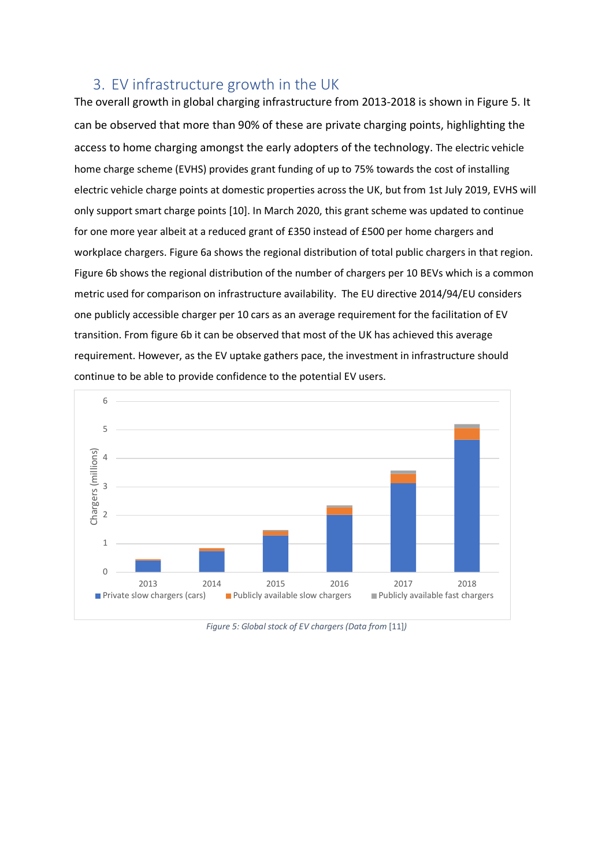#### 3. EV infrastructure growth in the UK

The overall growth in global charging infrastructure from 2013-2018 is shown in Figure 5. It can be observed that more than 90% of these are private charging points, highlighting the access to home charging amongst the early adopters of the technology. The electric vehicle home charge scheme (EVHS) provides grant funding of up to 75% towards the cost of installing electric vehicle charge points at domestic properties across the UK, but from 1st July 2019, EVHS will only support smart charge points [10]. In March 2020, this grant scheme was updated to continue for one more year albeit at a reduced grant of £350 instead of £500 per home chargers and workplace chargers. Figure 6a shows the regional distribution of total public chargers in that region. Figure 6b shows the regional distribution of the number of chargers per 10 BEVs which is a common metric used for comparison on infrastructure availability. The EU directive 2014/94/EU considers one publicly accessible charger per 10 cars as an average requirement for the facilitation of EV transition. From figure 6b it can be observed that most of the UK has achieved this average requirement. However, as the EV uptake gathers pace, the investment in infrastructure should continue to be able to provide confidence to the potential EV users.



*Figure 5: Global stock of EV chargers (Data from* [11]*)*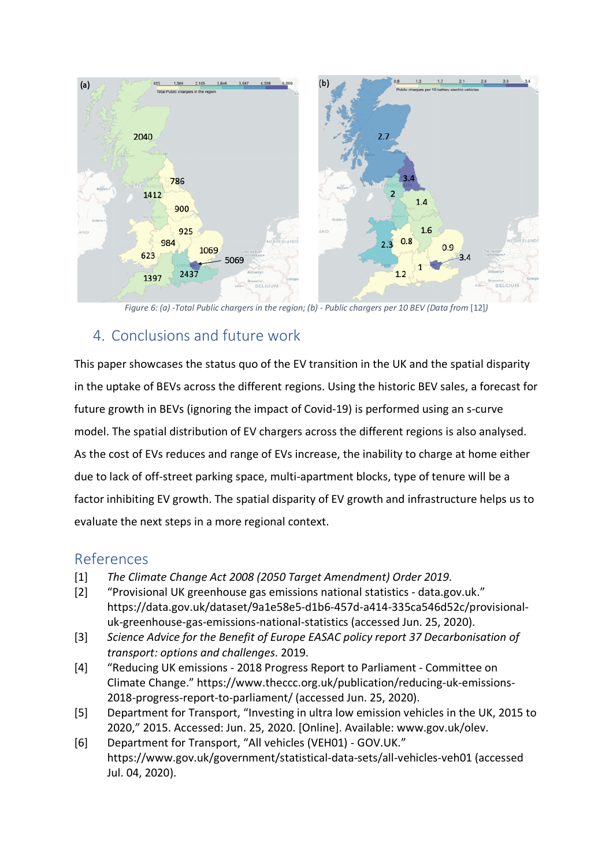

*Figure 6: (a) -Total Public chargers in the region; (b) - Public chargers per 10 BEV (Data from* [12]*)*

## 4. Conclusions and future work

This paper showcases the status quo of the EV transition in the UK and the spatial disparity in the uptake of BEVs across the different regions. Using the historic BEV sales, a forecast for future growth in BEVs (ignoring the impact of Covid-19) is performed using an s-curve model. The spatial distribution of EV chargers across the different regions is also analysed. As the cost of EVs reduces and range of EVs increase, the inability to charge at home either due to lack of off-street parking space, multi-apartment blocks, type of tenure will be a factor inhibiting EV growth. The spatial disparity of EV growth and infrastructure helps us to evaluate the next steps in a more regional context.

### References

- [1] *The Climate Change Act 2008 (2050 Target Amendment) Order 2019*.
- [2] "Provisional UK greenhouse gas emissions national statistics data.gov.uk." https://data.gov.uk/dataset/9a1e58e5-d1b6-457d-a414-335ca546d52c/provisionaluk-greenhouse-gas-emissions-national-statistics (accessed Jun. 25, 2020).
- [3] *Science Advice for the Benefit of Europe EASAC policy report 37 Decarbonisation of transport: options and challenges*. 2019.
- [4] "Reducing UK emissions 2018 Progress Report to Parliament Committee on Climate Change." https://www.theccc.org.uk/publication/reducing-uk-emissions-2018-progress-report-to-parliament/ (accessed Jun. 25, 2020).
- [5] Department for Transport, "Investing in ultra low emission vehicles in the UK, 2015 to 2020," 2015. Accessed: Jun. 25, 2020. [Online]. Available: www.gov.uk/olev.
- [6] Department for Transport, "All vehicles (VEH01) GOV.UK." https://www.gov.uk/government/statistical-data-sets/all-vehicles-veh01 (accessed Jul. 04, 2020).